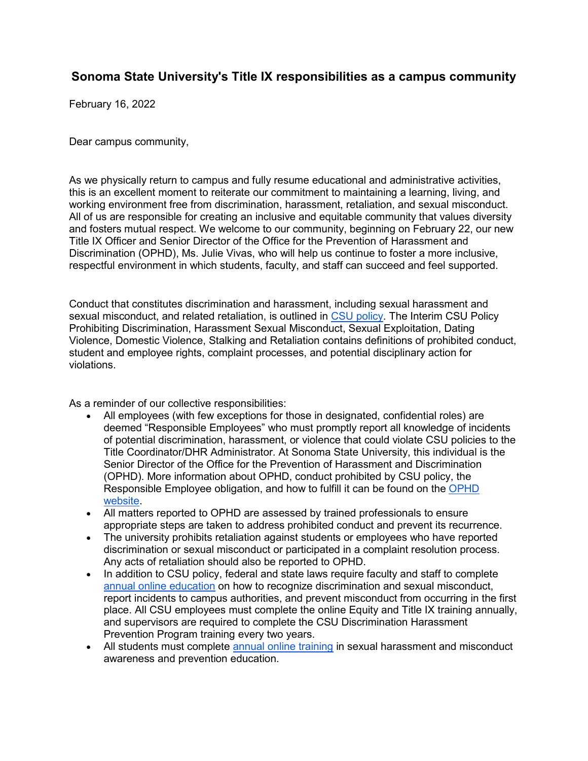## **Sonoma State University's Title IX responsibilities as a campus community**

February 16, 2022

Dear campus community,

As we physically return to campus and fully resume educational and administrative activities, this is an excellent moment to reiterate our commitment to maintaining a learning, living, and working environment free from discrimination, harassment, retaliation, and sexual misconduct. All of us are responsible for creating an inclusive and equitable community that values diversity and fosters mutual respect. We welcome to our community, beginning on February 22, our new Title IX Officer and Senior Director of the Office for the Prevention of Harassment and Discrimination (OPHD), Ms. Julie Vivas, who will help us continue to foster a more inclusive, respectful environment in which students, faculty, and staff can succeed and feel supported.

Conduct that constitutes discrimination and harassment, including sexual harassment and sexual misconduct, and related retaliation, is outlined in [CSU policy.](https://calstate.policystat.com/policy/10926024/latest/) The Interim CSU Policy Prohibiting Discrimination, Harassment Sexual Misconduct, Sexual Exploitation, Dating Violence, Domestic Violence, Stalking and Retaliation contains definitions of prohibited conduct, student and employee rights, complaint processes, and potential disciplinary action for violations.

As a reminder of our collective responsibilities:

- All employees (with few exceptions for those in designated, confidential roles) are deemed "Responsible Employees" who must promptly report all knowledge of incidents of potential discrimination, harassment, or violence that could violate CSU policies to the Title Coordinator/DHR Administrator. At Sonoma State University, this individual is the Senior Director of the Office for the Prevention of Harassment and Discrimination (OPHD). More information about OPHD, conduct prohibited by CSU policy, the Responsible Employee obligation, and how to fulfill it can be found on the [OPHD](http://ophd.sonoma.edu/sites/ophd/files/duty_to_report.pdf)  [website.](http://ophd.sonoma.edu/sites/ophd/files/duty_to_report.pdf)
- All matters reported to OPHD are assessed by trained professionals to ensure appropriate steps are taken to address prohibited conduct and prevent its recurrence.
- The university prohibits retaliation against students or employees who have reported discrimination or sexual misconduct or participated in a complaint resolution process. Any acts of retaliation should also be reported to OPHD.
- In addition to CSU policy, federal and state laws require faculty and staff to complete [annual online education](https://ophd.sonoma.edu/training) on how to recognize discrimination and sexual misconduct, report incidents to campus authorities, and prevent misconduct from occurring in the first place. All CSU employees must complete the online Equity and Title IX training annually, and supervisors are required to complete the CSU Discrimination Harassment Prevention Program training every two years.
- All students must complete [annual online training](https://ophd.sonoma.edu/training) in sexual harassment and misconduct awareness and prevention education.